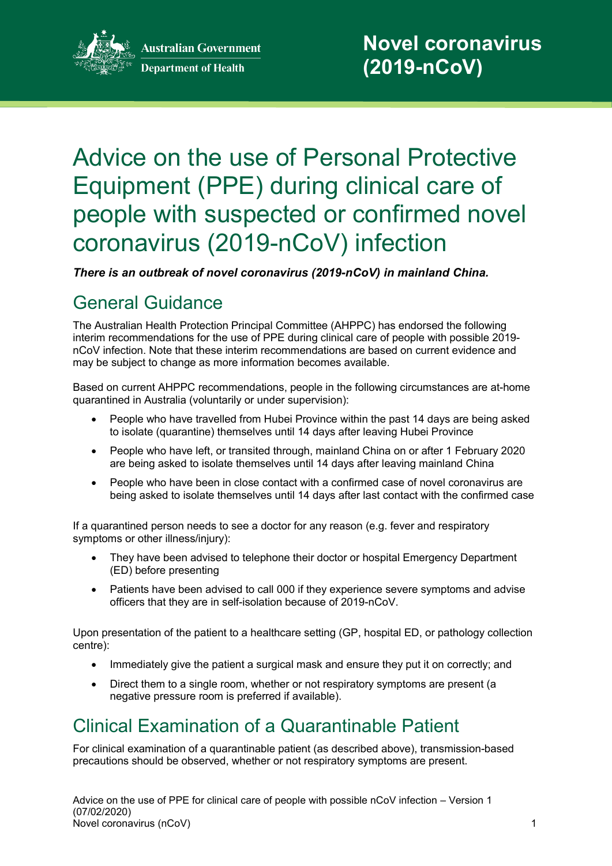

# Advice on the use of Personal Protective Equipment (PPE) during clinical care of people with suspected or confirmed novel coronavirus (2019-nCoV) infection

*There is an outbreak of novel coronavirus (2019-nCoV) in mainland China.*

# General Guidance

The Australian Health Protection Principal Committee (AHPPC) has endorsed the following interim recommendations for the use of PPE during clinical care of people with possible 2019 nCoV infection. Note that these interim recommendations are based on current evidence and may be subject to change as more information becomes available.

Based on current AHPPC recommendations, people in the following circumstances are at-home quarantined in Australia (voluntarily or under supervision):

- People who have travelled from Hubei Province within the past 14 days are being asked to isolate (quarantine) themselves until 14 days after leaving Hubei Province
- People who have left, or transited through, mainland China on or after 1 February 2020 are being asked to isolate themselves until 14 days after leaving mainland China
- People who have been in close contact with a confirmed case of novel coronavirus are being asked to isolate themselves until 14 days after last contact with the confirmed case

If a quarantined person needs to see a doctor for any reason (e.g. fever and respiratory symptoms or other illness/injury):

- They have been advised to telephone their doctor or hospital Emergency Department (ED) before presenting
- Patients have been advised to call 000 if they experience severe symptoms and advise officers that they are in self-isolation because of 2019-nCoV.

Upon presentation of the patient to a healthcare setting (GP, hospital ED, or pathology collection centre):

- Immediately give the patient a surgical mask and ensure they put it on correctly; and
- Direct them to a single room, whether or not respiratory symptoms are present (a negative pressure room is preferred if available).

# Clinical Examination of a Quarantinable Patient

For clinical examination of a quarantinable patient (as described above), transmission-based precautions should be observed, whether or not respiratory symptoms are present.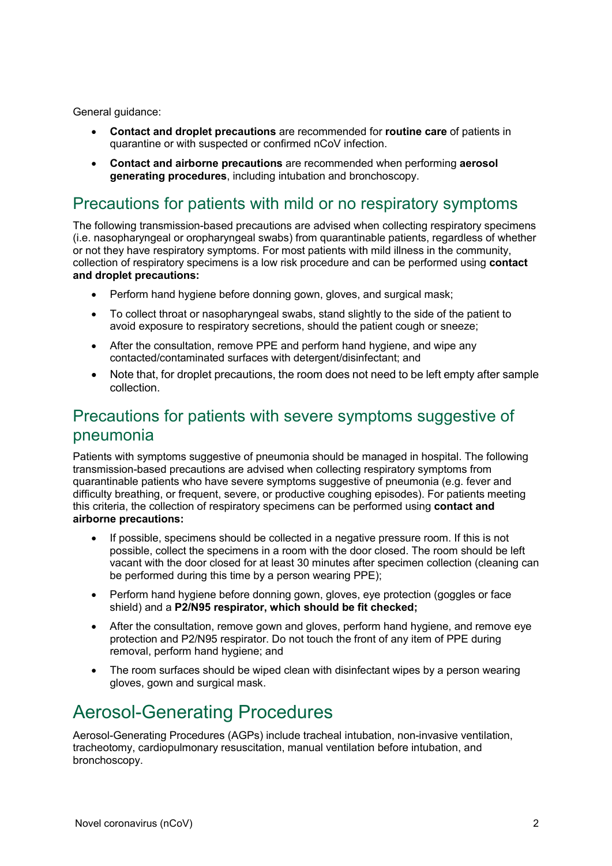General guidance:

- **Contact and droplet precautions** are recommended for **routine care** of patients in quarantine or with suspected or confirmed nCoV infection.
- **Contact and airborne precautions** are recommended when performing **aerosol generating procedures**, including intubation and bronchoscopy.

#### Precautions for patients with mild or no respiratory symptoms

The following transmission-based precautions are advised when collecting respiratory specimens (i.e. nasopharyngeal or oropharyngeal swabs) from quarantinable patients, regardless of whether or not they have respiratory symptoms. For most patients with mild illness in the community, collection of respiratory specimens is a low risk procedure and can be performed using **contact and droplet precautions:**

- Perform hand hygiene before donning gown, gloves, and surgical mask;
- To collect throat or nasopharyngeal swabs, stand slightly to the side of the patient to avoid exposure to respiratory secretions, should the patient cough or sneeze;
- After the consultation, remove PPE and perform hand hygiene, and wipe any contacted/contaminated surfaces with detergent/disinfectant; and
- Note that, for droplet precautions, the room does not need to be left empty after sample collection.

#### Precautions for patients with severe symptoms suggestive of pneumonia

Patients with symptoms suggestive of pneumonia should be managed in hospital. The following transmission-based precautions are advised when collecting respiratory symptoms from quarantinable patients who have severe symptoms suggestive of pneumonia (e.g. fever and difficulty breathing, or frequent, severe, or productive coughing episodes). For patients meeting this criteria, the collection of respiratory specimens can be performed using **contact and airborne precautions:**

- If possible, specimens should be collected in a negative pressure room. If this is not possible, collect the specimens in a room with the door closed. The room should be left vacant with the door closed for at least 30 minutes after specimen collection (cleaning can be performed during this time by a person wearing PPE);
- Perform hand hygiene before donning gown, gloves, eye protection (goggles or face shield) and a **P2/N95 respirator, which should be fit checked;**
- After the consultation, remove gown and gloves, perform hand hygiene, and remove eye protection and P2/N95 respirator. Do not touch the front of any item of PPE during removal, perform hand hygiene; and
- The room surfaces should be wiped clean with disinfectant wipes by a person wearing gloves, gown and surgical mask.

## Aerosol-Generating Procedures

Aerosol-Generating Procedures (AGPs) include tracheal intubation, non-invasive ventilation, tracheotomy, cardiopulmonary resuscitation, manual ventilation before intubation, and bronchoscopy.